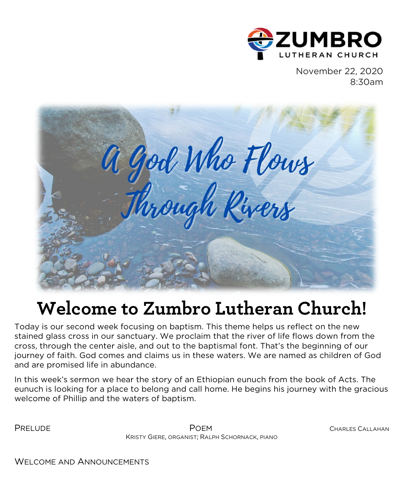

November 22, 2020 8:30am



# **Welcome to Zumbro Lutheran Church!**

Today is our second week focusing on baptism. This theme helps us reflect on the new stained glass cross in our sanctuary. We proclaim that the river of life flows down from the cross, through the center aisle, and out to the baptismal font. That's the beginning of our journey of faith. God comes and claims us in these waters. We are named as children of God and are promised life in abundance.

In this week's sermon we hear the story of an Ethiopian eunuch from the book of Acts. The eunuch is looking for a place to belong and call home. He begins his journey with the gracious welcome of Phillip and the waters of baptism.

PRELUDE POEM CHARLES CALLAHAN KRISTY GIERE, ORGANIST; RALPH SCHORNACK, PIANO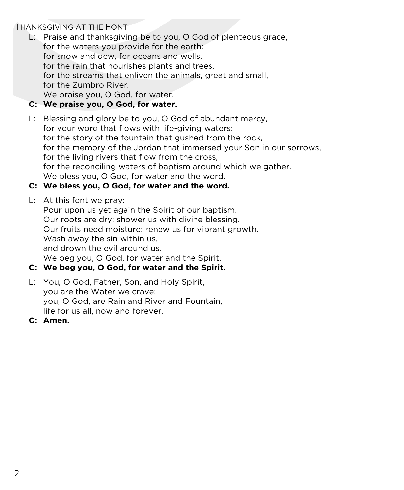# THANKSGIVING AT THE FONT

L: Praise and thanksgiving be to you, O God of plenteous grace, for the waters you provide for the earth: for snow and dew, for oceans and wells, for the rain that nourishes plants and trees, for the streams that enliven the animals, great and small, for the Zumbro River. We praise you, O God, for water.

# **C: We praise you, O God, for water.**

L: Blessing and glory be to you, O God of abundant mercy, for your word that flows with life-giving waters: for the story of the fountain that gushed from the rock, for the memory of the Jordan that immersed your Son in our sorrows, for the living rivers that flow from the cross, for the reconciling waters of baptism around which we gather. We bless you, O God, for water and the word.

# **C: We bless you, O God, for water and the word.**

L: At this font we pray:

Pour upon us yet again the Spirit of our baptism. Our roots are dry: shower us with divine blessing. Our fruits need moisture: renew us for vibrant growth. Wash away the sin within us. and drown the evil around us. We beg you, O God, for water and the Spirit.

- **C: We beg you, O God, for water and the Spirit.**
- L: You, O God, Father, Son, and Holy Spirit, you are the Water we crave; you, O God, are Rain and River and Fountain, life for us all, now and forever.
- **C: Amen.**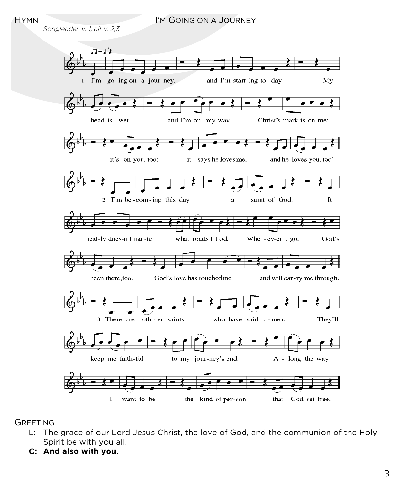### HYMN I'M GOING ON A JOURNEY

*Songleader-v. 1; all-v. 2,3*



**GREETING** 

- L: The grace of our Lord Jesus Christ, the love of God, and the communion of the Holy Spirit be with you all.
- **C: And also with you.**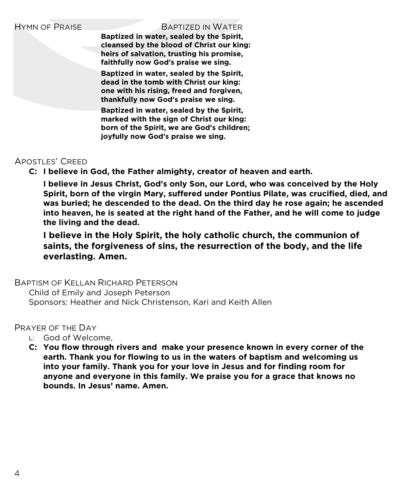#### HYMN OF PRAISE BAPTIZED IN WATER

**Baptized in water, sealed by the Spirit, cleansed by the blood of Christ our king: heirs of salvation, trusting his promise, faithfully now God's praise we sing.**

**Baptized in water, sealed by the Spirit, dead in the tomb with Christ our king: one with his rising, freed and forgiven, thankfully now God's praise we sing.**

**Baptized in water, sealed by the Spirit, marked with the sign of Christ our king: born of the Spirit, we are God's children; joyfully now God's praise we sing.**

# APOSTLES' CREED

**C: I believe in God, the Father almighty, creator of heaven and earth.** 

**I believe in Jesus Christ, God's only Son, our Lord, who was conceived by the Holy Spirit, born of the virgin Mary, suffered under Pontius Pilate, was crucified, died, and was buried; he descended to the dead. On the third day he rose again; he ascended into heaven, he is seated at the right hand of the Father, and he will come to judge the living and the dead.** 

**I believe in the Holy Spirit, the holy catholic church, the communion of saints, the forgiveness of sins, the resurrection of the body, and the life everlasting. Amen.**

# BAPTISM OF KELLAN RICHARD PETERSON

Child of Emily and Joseph Peterson Sponsors: Heather and Nick Christenson, Kari and Keith Allen

# PRAYER OF THE DAY

- L: God of Welcome,
- **C: You flow through rivers and make your presence known in every corner of the earth. Thank you for flowing to us in the waters of baptism and welcoming us into your family. Thank you for your love in Jesus and for finding room for anyone and everyone in this family. We praise you for a grace that knows no bounds. In Jesus' name. Amen.**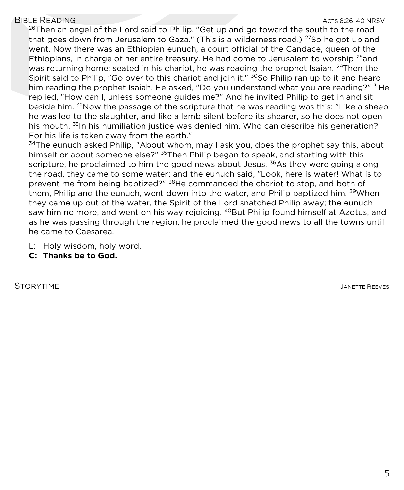# BIBLE READING ACTS 8:26-40 NRSV

 $^{26}$ Then an angel of the Lord said to Philip, "Get up and go toward the south to the road that goes down from Jerusalem to Gaza." (This is a wilderness road.)  $^{27}$ So he got up and went. Now there was an Ethiopian eunuch, a court official of the Candace, queen of the Ethiopians, in charge of her entire treasury. He had come to Jerusalem to worship <sup>28</sup>and was returning home; seated in his chariot, he was reading the prophet Isaiah. <sup>29</sup>Then the Spirit said to Philip, "Go over to this chariot and join it." <sup>30</sup>So Philip ran up to it and heard him reading the prophet Isaiah. He asked, "Do you understand what you are reading?" <sup>31</sup>He replied, "How can I, unless someone guides me?" And he invited Philip to get in and sit beside him. <sup>32</sup>Now the passage of the scripture that he was reading was this: "Like a sheep he was led to the slaughter, and like a lamb silent before its shearer, so he does not open his mouth. <sup>33</sup>In his humiliation justice was denied him. Who can describe his generation? For his life is taken away from the earth."

 $34$ The eunuch asked Philip, "About whom, may I ask you, does the prophet say this, about himself or about someone else?" <sup>35</sup>Then Philip began to speak, and starting with this scripture, he proclaimed to him the good news about Jesus.  $36As$  they were going along the road, they came to some water; and the eunuch said, "Look, here is water! What is to prevent me from being baptized?" <sup>38</sup>He commanded the chariot to stop, and both of them, Philip and the eunuch, went down into the water, and Philip baptized him. <sup>39</sup>When they came up out of the water, the Spirit of the Lord snatched Philip away; the eunuch saw him no more, and went on his way rejoicing. <sup>40</sup>But Philip found himself at Azotus, and as he was passing through the region, he proclaimed the good news to all the towns until he came to Caesarea.

- L: Holy wisdom, holy word,
- **C: Thanks be to God.**

STORYTIME AND RESERVES THE STORYTIME SERVES SERVES AND THE REEVES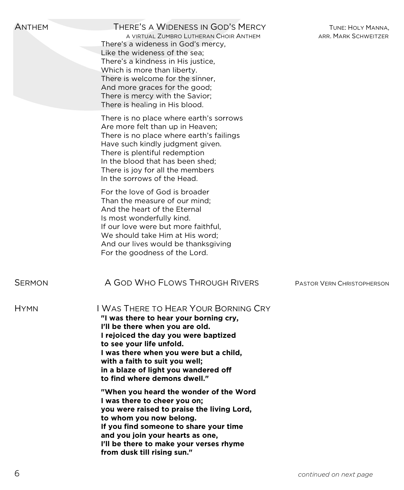| <b>ANTHEM</b> | THERE'S A WIDENESS IN GOD'S MERCY<br>A VIRTUAL ZUMBRO LUTHERAN CHOIR ANTHEM<br>There's a wideness in God's mercy,<br>Like the wideness of the sea;<br>There's a kindness in His justice,<br>Which is more than liberty.<br>There is welcome for the sinner.<br>And more graces for the good;<br>There is mercy with the Savior;<br>There is healing in His blood.                                                                                                                                                                      | TUNE: HOLY MANNA,<br>ARR. MARK SCHWEITZER |
|---------------|----------------------------------------------------------------------------------------------------------------------------------------------------------------------------------------------------------------------------------------------------------------------------------------------------------------------------------------------------------------------------------------------------------------------------------------------------------------------------------------------------------------------------------------|-------------------------------------------|
|               | There is no place where earth's sorrows<br>Are more felt than up in Heaven;<br>There is no place where earth's failings<br>Have such kindly judgment given.<br>There is plentiful redemption<br>In the blood that has been shed;<br>There is joy for all the members<br>In the sorrows of the Head.                                                                                                                                                                                                                                    |                                           |
|               | For the love of God is broader<br>Than the measure of our mind:<br>And the heart of the Eternal<br>Is most wonderfully kind.<br>If our love were but more faithful.<br>We should take Him at His word;<br>And our lives would be thanksgiving<br>For the goodness of the Lord.                                                                                                                                                                                                                                                         |                                           |
| <b>SERMON</b> | A GOD WHO FLOWS THROUGH RIVERS                                                                                                                                                                                                                                                                                                                                                                                                                                                                                                         | <b>PASTOR VERN CHRISTOPHERSON</b>         |
| <b>HYMN</b>   | I WAS THERE TO HEAR YOUR BORNING CRY<br>"I was there to hear your borning cry,<br>I'll be there when you are old.<br>I rejoiced the day you were baptized<br>to see your life unfold.<br>I was there when you were but a child,<br>with a faith to suit you well;<br>in a blaze of light you wandered off<br>to find where demons dwell."<br>"When you heard the wonder of the Word<br>I was there to cheer you on;<br>you were raised to praise the living Lord,<br>to whom you now belong.<br>If you find someone to share your time |                                           |
|               | and you join your hearts as one,<br>I'll be there to make your verses rhyme<br>from dusk till rising sun."                                                                                                                                                                                                                                                                                                                                                                                                                             |                                           |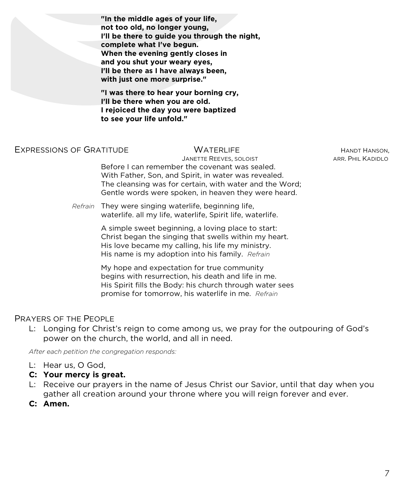**"In the middle ages of your life, not too old, no longer young, I'll be there to guide you through the night, complete what I've begun. When the evening gently closes in and you shut your weary eyes, I'll be there as I have always been, with just one more surprise."**

**"I was there to hear your borning cry, I'll be there when you are old. I rejoiced the day you were baptized to see your life unfold."**

#### EXPRESSIONS OF GRATITUDE **WATERLIFE** WATERLIFE HANDT HANDT HANSON.

JANETTE REEVES, SOLOIST **ARR. PHIL KADIDLO** Before I can remember the covenant was sealed. With Father, Son, and Spirit, in water was revealed. The cleansing was for certain, with water and the Word; Gentle words were spoken, in heaven they were heard.

*Refrain* They were singing waterlife, beginning life, waterlife. all my life, waterlife, Spirit life, waterlife.

> A simple sweet beginning, a loving place to start: Christ began the singing that swells within my heart. His love became my calling, his life my ministry. His name is my adoption into his family. *Refrain*

My hope and expectation for true community begins with resurrection, his death and life in me. His Spirit fills the Body: his church through water sees promise for tomorrow, his waterlife in me. *Refrain*

## PRAYERS OF THE PEOPLE

L: Longing for Christ's reign to come among us, we pray for the outpouring of God's power on the church, the world, and all in need.

*After each petition the congregation responds:*

- L: Hear us, O God,
- **C: Your mercy is great.**
- L: Receive our prayers in the name of Jesus Christ our Savior, until that day when you gather all creation around your throne where you will reign forever and ever.
- **C: Amen.**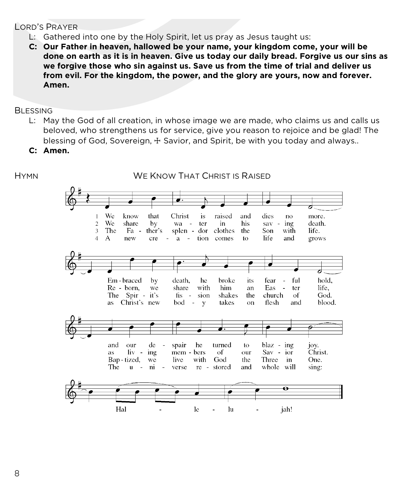# LORD'S PRAYER

- L: Gathered into one by the Holy Spirit, let us pray as Jesus taught us:
- **C: Our Father in heaven, hallowed be your name, your kingdom come, your will be done on earth as it is in heaven. Give us today our daily bread. Forgive us our sins as we forgive those who sin against us. Save us from the time of trial and deliver us from evil. For the kingdom, the power, and the glory are yours, now and forever. Amen.**

# **BLESSING**

- L: May the God of all creation, in whose image we are made, who claims us and calls us beloved, who strengthens us for service, give you reason to rejoice and be glad! The blessing of God, Sovereign,  $\pm$  Savior, and Spirit, be with you today and always..
- **C: Amen.**

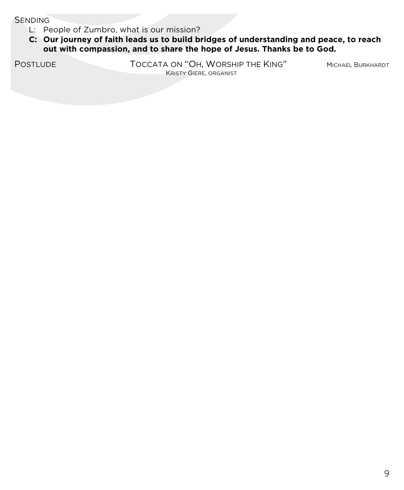**SENDING** 

- L: People of Zumbro, what is our mission?
- **C: Our journey of faith leads us to build bridges of understanding and peace, to reach out with compassion, and to share the hope of Jesus. Thanks be to God.**

POSTLUDE **TOCCATA ON "OH, WORSHIP THE KING"** MICHAEL BURKHARDT KRISTY GIERE, ORGANIST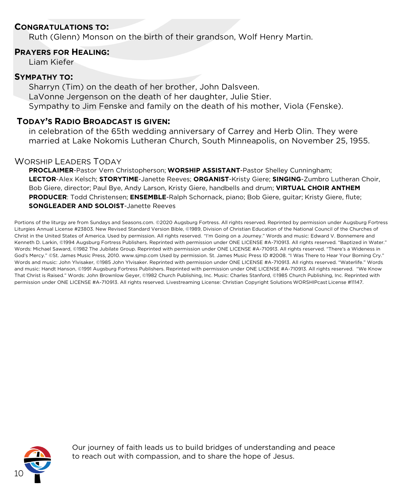### **CONGRATULATIONS TO:**

Ruth (Glenn) Monson on the birth of their grandson, Wolf Henry Martin.

#### **PRAYERS FOR HEALING:**

Liam Kiefer

#### **SYMPATHY TO:**

Sharryn (Tim) on the death of her brother, John Dalsveen. LaVonne Jergenson on the death of her daughter, Julie Stier. Sympathy to Jim Fenske and family on the death of his mother, Viola (Fenske).

#### **TODAY'S RADIO BROADCAST IS GIVEN:**

in celebration of the 65th wedding anniversary of Carrey and Herb Olin. They were married at Lake Nokomis Lutheran Church, South Minneapolis, on November 25, 1955.

#### WORSHIP LEADERS TODAY

**PROCLAIMER**-Pastor Vern Christopherson; **WORSHIP ASSISTANT**-Pastor Shelley Cunningham; **LECTOR**-Alex Kelsch; **STORYTIME**-Janette Reeves; **ORGANIST**-Kristy Giere; **SINGING**-Zumbro Lutheran Choir, Bob Giere, director; Paul Bye, Andy Larson, Kristy Giere, handbells and drum; **VIRTUAL CHOIR ANTHEM PRODUCER**: Todd Christensen; **ENSEMBLE**-Ralph Schornack, piano; Bob Giere, guitar; Kristy Giere, flute; **SONGLEADER AND SOLOIST**-Janette Reeves

Portions of the liturgy are from Sundays and Seasons.com. ©2020 Augsburg Fortress. All rights reserved. Reprinted by permission under Augsburg Fortress Liturgies Annual License #23803. New Revised Standard Version Bible, ©1989, Division of Christian Education of the National Council of the Churches of Christ in the United States of America. Used by permission. All rights reserved. "I'm Going on a Journey." Words and music: Edward V. Bonnemere and Kenneth D. Larkin, ©1994 Augsburg Fortress Publishers. Reprinted with permission under ONE LICENSE #A-710913. All rights reserved. "Baptized in Water." Words: Michael Saward, ©1982 The Jubilate Group. Reprinted with permission under ONE LICENSE #A-710913. All rights reserved. "There's a Wideness in God's Mercy." ©St. James Music Press, 2010. www.sjmp.com Used by permission. St. James Music Press ID #2008. "I Was There to Hear Your Borning Cry." Words and music: John Ylvisaker, ©1985 John Ylvisaker. Reprinted with permission under ONE LICENSE #A-710913. All rights reserved. "Waterlife." Words and music: Handt Hanson, ©1991 Augsburg Fortress Publishers. Reprinted with permission under ONE LICENSE #A-710913. All rights reserved. "We Know That Christ is Raised." Words: John Brownlow Geyer, ©1982 Church Publishing, Inc. Music: Charles Stanford, ©1985 Church Publishing, Inc. Reprinted with permission under ONE LICENSE #A-710913. All rights reserved. Livestreaming License: Christian Copyright Solutions WORSHIPcast License #11147.



Our journey of faith leads us to build bridges of understanding and peace to reach out with compassion, and to share the hope of Jesus.